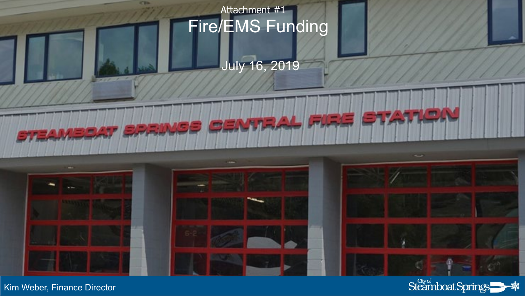

July 16, 2019



**C Bib** 

**STEAMBOAT OPPINIER PRATTRAL FIRE** 



**BTATIC** 



Kim Weber, Finance Director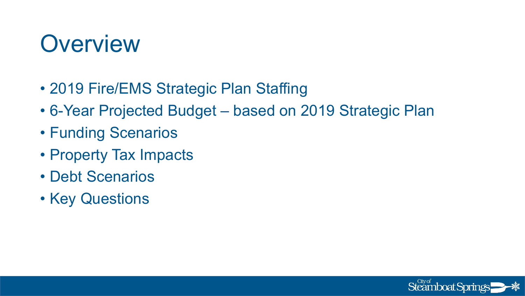### **Overview**

- 2019 Fire/EMS Strategic Plan Staffing
- 6-Year Projected Budget based on 2019 Strategic Plan
- Funding Scenarios
- Property Tax Impacts
- Debt Scenarios
- Key Questions

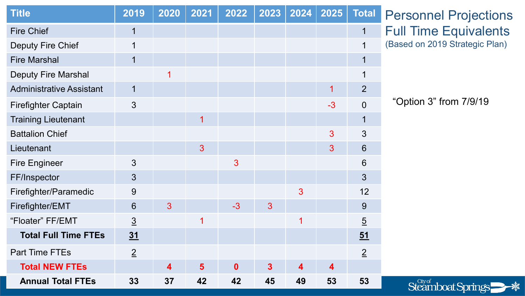| <b>Title</b>                    | 2019                    | 2020           | 2021 | 2022         | 2023                    | 2024             | 2025                    | <b>Total</b>     |
|---------------------------------|-------------------------|----------------|------|--------------|-------------------------|------------------|-------------------------|------------------|
| <b>Fire Chief</b>               | $\overline{\mathbf{1}}$ |                |      |              |                         |                  |                         | 1                |
| <b>Deputy Fire Chief</b>        | 1                       |                |      |              |                         |                  |                         | 1                |
| <b>Fire Marshal</b>             | 1                       |                |      |              |                         |                  |                         | 1                |
| <b>Deputy Fire Marshal</b>      |                         | 1              |      |              |                         |                  |                         | 1                |
| <b>Administrative Assistant</b> | 1                       |                |      |              |                         |                  | 1                       | $\overline{2}$   |
| <b>Firefighter Captain</b>      | 3                       |                |      |              |                         |                  | $-3$                    | $\overline{0}$   |
| <b>Training Lieutenant</b>      |                         |                | 1    |              |                         |                  |                         | 1                |
| <b>Battalion Chief</b>          |                         |                |      |              |                         |                  | 3                       | 3                |
| Lieutenant                      |                         |                | 3    |              |                         |                  | 3                       | 6                |
| <b>Fire Engineer</b>            | 3                       |                |      | 3            |                         |                  |                         | $6\phantom{1}6$  |
| FF/Inspector                    | 3                       |                |      |              |                         |                  |                         | $\overline{3}$   |
| Firefighter/Paramedic           | 9                       |                |      |              |                         | $\overline{3}$   |                         | 12               |
| Firefighter/EMT                 | 6                       | $\overline{3}$ |      | $-3$         | 3                       |                  |                         | 9                |
| "Floater" FF/EMT                | $\overline{3}$          |                | 1    |              |                         | 1                |                         | $\overline{5}$   |
| <b>Total Full Time FTEs</b>     | 31                      |                |      |              |                         |                  |                         | $\underline{51}$ |
| <b>Part Time FTEs</b>           | $\overline{2}$          |                |      |              |                         |                  |                         | $\overline{2}$   |
| <b>Total NEW FTEs</b>           |                         | 4              | 5    | $\mathbf{0}$ | $\overline{\mathbf{3}}$ | $\blacktriangle$ | $\overline{\mathbf{4}}$ |                  |
| <b>Annual Total FTEs</b>        | 33                      | 37             | 42   | 42           | 45                      | 49               | 53                      | 53               |

Personnel Projections Full Time Equivalents (Based on 2019 Strategic Plan)

"Option 3" from 7/9/19

Steamboat Springs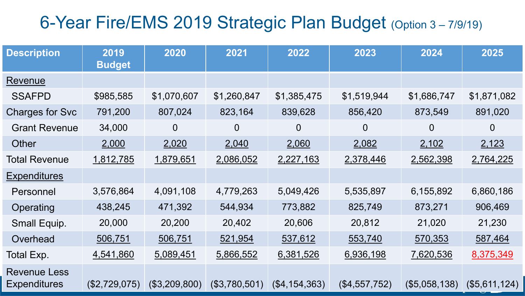### 6-Year Fire/EMS 2019 Strategic Plan Budget (Option 3 – 7/9/19)

| <b>Description</b>                         | 2019<br><b>Budget</b> | 2020           | 2021          | 2022           | 2023           | 2024           | 2025           |
|--------------------------------------------|-----------------------|----------------|---------------|----------------|----------------|----------------|----------------|
| Revenue                                    |                       |                |               |                |                |                |                |
| <b>SSAFPD</b>                              | \$985,585             | \$1,070,607    | \$1,260,847   | \$1,385,475    | \$1,519,944    | \$1,686,747    | \$1,871,082    |
| <b>Charges for Svc</b>                     | 791,200               | 807,024        | 823,164       | 839,628        | 856,420        | 873,549        | 891,020        |
| <b>Grant Revenue</b>                       | 34,000                | $\overline{0}$ | 0             | $\overline{0}$ | $\overline{0}$ | $\overline{0}$ | $\overline{0}$ |
| Other                                      | 2,000                 | 2,020          | 2,040         | 2,060          | 2,082          | 2,102          | 2,123          |
| <b>Total Revenue</b>                       | 1,812,785             | 1,879,651      | 2,086,052     | 2,227,163      | 2,378,446      | 2,562,398      | 2,764,225      |
| <b>Expenditures</b>                        |                       |                |               |                |                |                |                |
| Personnel                                  | 3,576,864             | 4,091,108      | 4,779,263     | 5,049,426      | 5,535,897      | 6,155,892      | 6,860,186      |
| Operating                                  | 438,245               | 471,392        | 544,934       | 773,882        | 825,749        | 873,271        | 906,469        |
| Small Equip.                               | 20,000                | 20,200         | 20,402        | 20,606         | 20,812         | 21,020         | 21,230         |
| Overhead                                   | 506,751               | 506,751        | 521,954       | 537,612        | 553,740        | 570,353        | 587,464        |
| Total Exp.                                 | 4,541,860             | 5,089,451      | 5,866,552     | 6,381,526      | 6,936,198      | 7,620,536      | 8,375,349      |
| <b>Revenue Less</b><br><b>Expenditures</b> | (\$2,729,075)         | (\$3,209,800)  | (\$3,780,501) | (\$4,154,363)  | (\$4,557,752)  | (\$5,058,138)  | (\$5,611,124)  |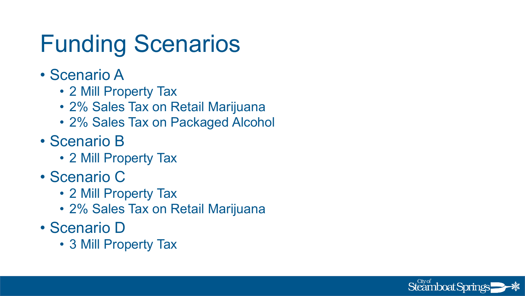### Funding Scenarios

- Scenario A
	- 2 Mill Property Tax
	- 2% Sales Tax on Retail Marijuana
	- 2% Sales Tax on Packaged Alcohol
- Scenario B
	- 2 Mill Property Tax
- Scenario C
	- 2 Mill Property Tax
	- 2% Sales Tax on Retail Marijuana
- Scenario D
	- 3 Mill Property Tax

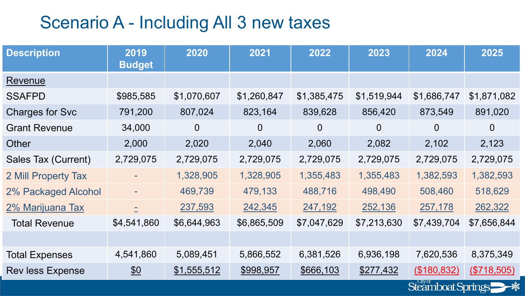### Scenario A - Including All 3 new taxes

| <b>Description</b>         | 2019<br><b>Budget</b> | 2020           | 2021           | 2022           | 2023           | 2024              | 2025           |
|----------------------------|-----------------------|----------------|----------------|----------------|----------------|-------------------|----------------|
| Revenue                    |                       |                |                |                |                |                   |                |
| <b>SSAFPD</b>              | \$985,585             | \$1,070,607    | \$1,260,847    | \$1,385,475    | \$1,519,944    | \$1,686,747       | \$1,871,082    |
| <b>Charges for Svc</b>     | 791,200               | 807,024        | 823,164        | 839,628        | 856,420        | 873,549           | 891,020        |
| <b>Grant Revenue</b>       | 34,000                | $\overline{0}$ | $\overline{0}$ | $\overline{0}$ | $\overline{0}$ | $\overline{0}$    | $\overline{0}$ |
| Other                      | 2,000                 | 2,020          | 2,040          | 2,060          | 2,082          | 2,102             | 2,123          |
| Sales Tax (Current)        | 2,729,075             | 2,729,075      | 2,729,075      | 2,729,075      | 2,729,075      | 2,729,075         | 2,729,075      |
| 2 Mill Property Tax        |                       | 1,328,905      | 1,328,905      | 1,355,483      | 1,355,483      | 1,382,593         | 1,382,593      |
| <b>2% Packaged Alcohol</b> |                       | 469,739        | 479,133        | 488,716        | 498,490        | 508,460           | 518,629        |
| 2% Marijuana Tax           | É.                    | 237,593        | 242,345        | 247,192        | 252,136        | 257,178           | 262,322        |
| <b>Total Revenue</b>       | \$4,541,860           | \$6,644,963    | \$6,865,509    | \$7,047,629    | \$7,213,630    | \$7,439,704       | \$7,656,844    |
|                            |                       |                |                |                |                |                   |                |
| <b>Total Expenses</b>      | 4,541,860             | 5,089,451      | 5,866,552      | 6,381,526      | 6,936,198      | 7,620,536         | 8,375,349      |
| <b>Rev less Expense</b>    | $\underline{\$0}$     | \$1,555,512    | \$998,957      | \$666,103      | \$277,432      | (\$180,832)       | (S718, 505)    |
|                            |                       |                |                |                |                | Steamboat Springs |                |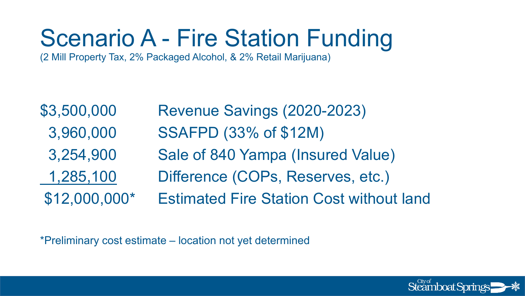# Scenario A - Fire Station Funding

(2 Mill Property Tax, 2% Packaged Alcohol, & 2% Retail Marijuana)

| \$3,500,000    | Revenue Savings (2020-2023)                     |
|----------------|-------------------------------------------------|
| 3,960,000      | <b>SSAFPD (33% of \$12M)</b>                    |
| 3,254,900      | Sale of 840 Yampa (Insured Value)               |
| 1,285,100      | Difference (COPs, Reserves, etc.)               |
| $$12,000,000*$ | <b>Estimated Fire Station Cost without land</b> |

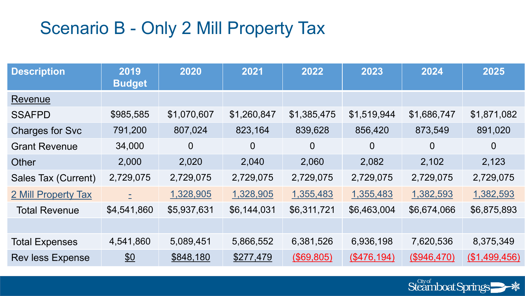### Scenario B - Only 2 Mill Property Tax

| <b>Description</b>      | 2019<br><b>Budget</b> | 2020           | 2021           | 2022           | 2023           | 2024           | 2025           |
|-------------------------|-----------------------|----------------|----------------|----------------|----------------|----------------|----------------|
| Revenue                 |                       |                |                |                |                |                |                |
| <b>SSAFPD</b>           | \$985,585             | \$1,070,607    | \$1,260,847    | \$1,385,475    | \$1,519,944    | \$1,686,747    | \$1,871,082    |
| <b>Charges for Svc</b>  | 791,200               | 807,024        | 823,164        | 839,628        | 856,420        | 873,549        | 891,020        |
| <b>Grant Revenue</b>    | 34,000                | $\overline{0}$ | $\overline{0}$ | $\overline{0}$ | $\overline{0}$ | $\overline{0}$ | $\overline{0}$ |
| Other                   | 2,000                 | 2,020          | 2,040          | 2,060          | 2,082          | 2,102          | 2,123          |
| Sales Tax (Current)     | 2,729,075             | 2,729,075      | 2,729,075      | 2,729,075      | 2,729,075      | 2,729,075      | 2,729,075      |
| 2 Mill Property Tax     | E.                    | 1,328,905      | 1,328,905      | 1,355,483      | 1,355,483      | 1,382,593      | 1,382,593      |
| <b>Total Revenue</b>    | \$4,541,860           | \$5,937,631    | \$6,144,031    | \$6,311,721    | \$6,463,004    | \$6,674,066    | \$6,875,893    |
|                         |                       |                |                |                |                |                |                |
| <b>Total Expenses</b>   | 4,541,860             | 5,089,451      | 5,866,552      | 6,381,526      | 6,936,198      | 7,620,536      | 8,375,349      |
| <b>Rev less Expense</b> | $\underline{\$0}$     | \$848,180      | \$277,479      | (\$69,805)     | (\$476,194)    | (\$946,470)    | (\$1,499,456)  |

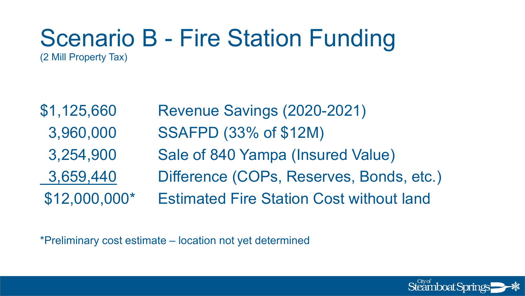#### Scenario B - Fire Station Funding (2 Mill Property Tax)

| \$1,125,660    | Revenue Savings (2020-2021)                     |
|----------------|-------------------------------------------------|
| 3,960,000      | <b>SSAFPD (33% of \$12M)</b>                    |
| 3,254,900      | Sale of 840 Yampa (Insured Value)               |
| 3,659,440      | Difference (COPs, Reserves, Bonds, etc.)        |
| $$12,000,000*$ | <b>Estimated Fire Station Cost without land</b> |

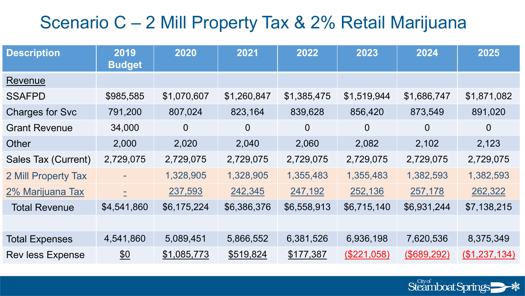### Scenario C – 2 Mill Property Tax & 2% Retail Marijuana

| <b>Description</b>      | 2019<br><b>Budget</b> | 2020           | 2021           | 2022           | 2023           | 2024           | 2025           |
|-------------------------|-----------------------|----------------|----------------|----------------|----------------|----------------|----------------|
| Revenue                 |                       |                |                |                |                |                |                |
| <b>SSAFPD</b>           | \$985,585             | \$1,070,607    | \$1,260,847    | \$1,385,475    | \$1,519,944    | \$1,686,747    | \$1,871,082    |
| <b>Charges for Svc</b>  | 791,200               | 807,024        | 823,164        | 839,628        | 856,420        | 873,549        | 891,020        |
| <b>Grant Revenue</b>    | 34,000                | $\overline{0}$ | $\overline{0}$ | $\overline{0}$ | $\overline{0}$ | $\overline{0}$ | $\overline{0}$ |
| Other                   | 2,000                 | 2,020          | 2,040          | 2,060          | 2,082          | 2,102          | 2,123          |
| Sales Tax (Current)     | 2,729,075             | 2,729,075      | 2,729,075      | 2,729,075      | 2,729,075      | 2,729,075      | 2,729,075      |
| 2 Mill Property Tax     |                       | 1,328,905      | 1,328,905      | 1,355,483      | 1,355,483      | 1,382,593      | 1,382,593      |
| 2% Marijuana Tax        | È.                    | 237,593        | 242,345        | 247,192        | 252,136        | 257,178        | 262,322        |
| <b>Total Revenue</b>    | \$4,541,860           | \$6,175,224    | \$6,386,376    | \$6,558,913    | \$6,715,140    | \$6,931,244    | \$7,138,215    |
|                         |                       |                |                |                |                |                |                |
| <b>Total Expenses</b>   | 4,541,860             | 5,089,451      | 5,866,552      | 6,381,526      | 6,936,198      | 7,620,536      | 8,375,349      |
| <b>Rev less Expense</b> | $\underline{\$0}$     | \$1,085,773    | \$519,824      | \$177,387      | (\$221,058)    | (\$689,292)    | (\$1,237,134)  |

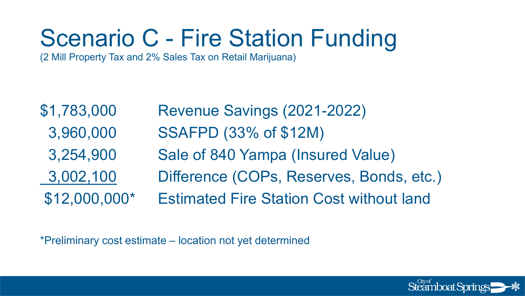# Scenario C - Fire Station Funding

(2 Mill Property Tax and 2% Sales Tax on Retail Marijuana)

\$1,783,000 Revenue Savings (2021-2022) 3,960,000 SSAFPD (33% of \$12M) 3,254,900 Sale of 840 Yampa (Insured Value) 3,002,100 Difference (COPs, Reserves, Bonds, etc.) \$12,000,000\* Estimated Fire Station Cost without land

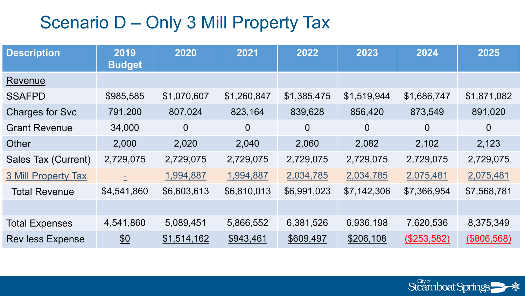### Scenario D – Only 3 Mill Property Tax

| <b>Description</b>         | 2019<br><b>Budget</b> | 2020           | 2021           | 2022           | 2023           | 2024           | 2025           |
|----------------------------|-----------------------|----------------|----------------|----------------|----------------|----------------|----------------|
| Revenue                    |                       |                |                |                |                |                |                |
| <b>SSAFPD</b>              | \$985,585             | \$1,070,607    | \$1,260,847    | \$1,385,475    | \$1,519,944    | \$1,686,747    | \$1,871,082    |
| <b>Charges for Svc</b>     | 791,200               | 807,024        | 823,164        | 839,628        | 856,420        | 873,549        | 891,020        |
| <b>Grant Revenue</b>       | 34,000                | $\overline{0}$ | $\overline{0}$ | $\overline{0}$ | $\overline{0}$ | $\overline{0}$ | $\overline{0}$ |
| Other                      | 2,000                 | 2,020          | 2,040          | 2,060          | 2,082          | 2,102          | 2,123          |
| Sales Tax (Current)        | 2,729,075             | 2,729,075      | 2,729,075      | 2,729,075      | 2,729,075      | 2,729,075      | 2,729,075      |
| <b>3 Mill Property Tax</b> | È.                    | 1,994,887      | 1,994,887      | 2,034,785      | 2,034,785      | 2,075,481      | 2,075,481      |
| <b>Total Revenue</b>       | \$4,541,860           | \$6,603,613    | \$6,810,013    | \$6,991,023    | \$7,142,306    | \$7,366,954    | \$7,568,781    |
|                            |                       |                |                |                |                |                |                |
| <b>Total Expenses</b>      | 4,541,860             | 5,089,451      | 5,866,552      | 6,381,526      | 6,936,198      | 7,620,536      | 8,375,349      |
| <b>Rev less Expense</b>    | $\underline{\$0}$     | \$1,514,162    | \$943,461      | \$609,497      | \$206,108      | (\$253,582)    | (\$806,568)    |

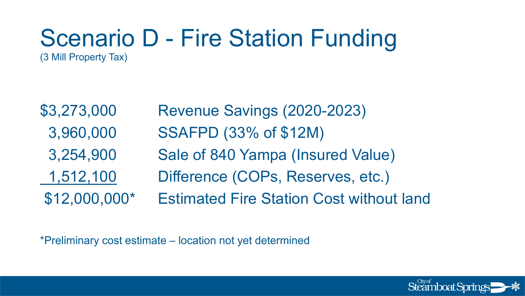#### Scenario D - Fire Station Funding (3 Mill Property Tax)

\$3,273,000 Revenue Savings (2020-2023) 3,960,000 SSAFPD (33% of \$12M) 3,254,900 Sale of 840 Yampa (Insured Value) 1,512,100 Difference (COPs, Reserves, etc.) \$12,000,000\* Estimated Fire Station Cost without land

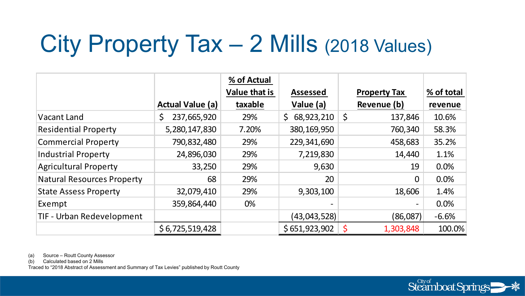# City Property Tax – 2 Mills (2018 Values)

|                                   |                         | % of Actual          |                          |                     |            |
|-----------------------------------|-------------------------|----------------------|--------------------------|---------------------|------------|
|                                   |                         | <b>Value that is</b> | <b>Assessed</b>          | <b>Property Tax</b> | % of total |
|                                   | <b>Actual Value (a)</b> | taxable              | Value (a)                | Revenue (b)         | revenue    |
| Vacant Land                       | 237,665,920             | 29%                  | 68,923,210<br>\$         | \$<br>137,846       | 10.6%      |
| <b>Residential Property</b>       | 5,280,147,830           | 7.20%                | 380, 169, 950            | 760,340             | 58.3%      |
| <b>Commercial Property</b>        | 790,832,480             | 29%                  | 229,341,690              | 458,683             | 35.2%      |
| <b>Industrial Property</b>        | 24,896,030              | 29%                  | 7,219,830                | 14,440              | 1.1%       |
| <b>Agricultural Property</b>      | 33,250                  | 29%                  | 9,630                    | 19                  | 0.0%       |
| <b>Natural Resources Property</b> | 68                      | 29%                  | 20                       | $\Omega$            | 0.0%       |
| <b>State Assess Property</b>      | 32,079,410              | 29%                  | 9,303,100                | 18,606              | 1.4%       |
| Exempt                            | 359,864,440             | 0%                   | $\overline{\phantom{0}}$ |                     | 0.0%       |
| TIF - Urban Redevelopment         |                         |                      | (43, 043, 528)           | (86,087)            | $-6.6%$    |
|                                   | \$6,725,519,428         |                      | \$651,923,902            | Ś<br>1,303,848      | 100.0%     |

(a) Source – Routt County Assessor

(b) Calculated based on 2 Mills

Traced to "2018 Abstract of Assessment and Summary of Tax Levies" published by Routt County

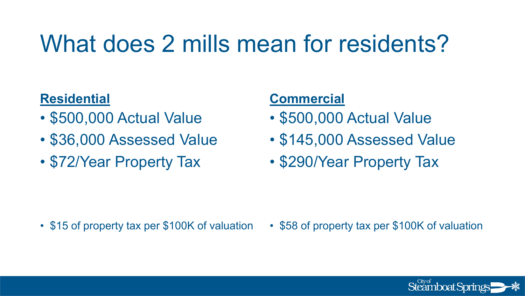### What does 2 mills mean for residents?

#### **Residential**

- \$500,000 Actual Value
- \$36,000 Assessed Value
- \$72/Year Property Tax

#### **Commercial**

- \$500,000 Actual Value
- \$145,000 Assessed Value
- \$290/Year Property Tax

- \$15 of property tax per \$100K of valuation
- \$58 of property tax per \$100K of valuation

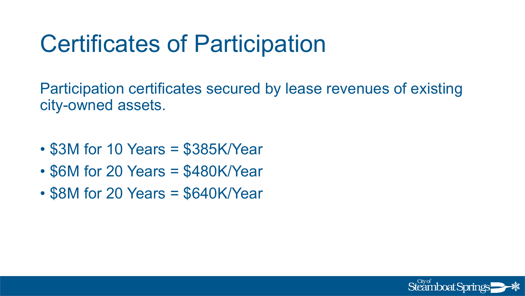### Certificates of Participation

Participation certificates secured by lease revenues of existing city-owned assets.

- \$3M for 10 Years = \$385K/Year
- \$6M for 20 Years = \$480K/Year
- \$8M for 20 Years = \$640K/Year

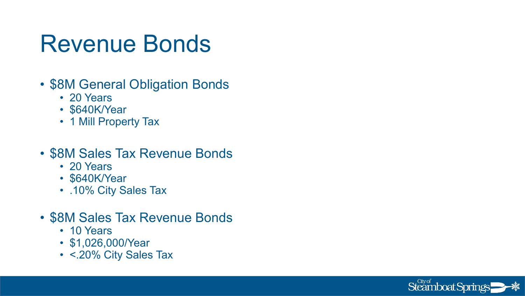### Revenue Bonds

- \$8M General Obligation Bonds
	- 20 Years
	- \$640K/Year
	- 1 Mill Property Tax
- \$8M Sales Tax Revenue Bonds
	- 20 Years
	- \$640K/Year
	- .10% City Sales Tax
- \$8M Sales Tax Revenue Bonds
	- 10 Years
	- \$1,026,000/Year
	- <.20% City Sales Tax